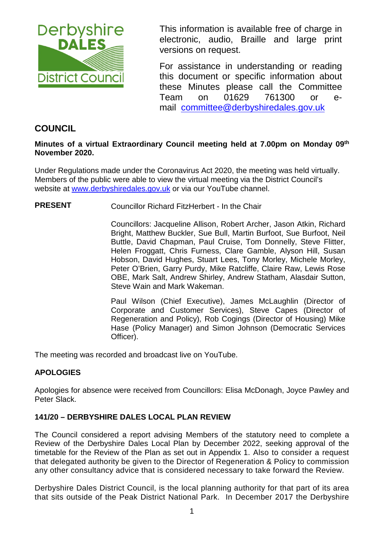

This information is available free of charge in electronic, audio, Braille and large print versions on request.

For assistance in understanding or reading this document or specific information about these Minutes please call the Committee Team on 01629 761300 or email [committee@derbyshiredales.gov.uk](mailto:brian.evans@derbyshiredales.gov.uk) 

## **COUNCIL**

#### **Minutes of a virtual Extraordinary Council meeting held at 7.00pm on Monday 09th November 2020.**

Under Regulations made under the Coronavirus Act 2020, the meeting was held virtually. Members of the public were able to view the virtual meeting via the District Council's website at [www.derbyshiredales.gov.uk](http://www.derbyshiredales.gov.uk/) or via our YouTube channel.

**PRESENT** Councillor Richard FitzHerbert - In the Chair

Councillors: Jacqueline Allison, Robert Archer, Jason Atkin, Richard Bright, Matthew Buckler, Sue Bull, Martin Burfoot, Sue Burfoot, Neil Buttle, David Chapman, Paul Cruise, Tom Donnelly, Steve Flitter, Helen Froggatt, Chris Furness, Clare Gamble, Alyson Hill, Susan Hobson, David Hughes, Stuart Lees, Tony Morley, Michele Morley, Peter O'Brien, Garry Purdy, Mike Ratcliffe, Claire Raw, Lewis Rose OBE, Mark Salt, Andrew Shirley, Andrew Statham, Alasdair Sutton, Steve Wain and Mark Wakeman.

Paul Wilson (Chief Executive), James McLaughlin (Director of Corporate and Customer Services), Steve Capes (Director of Regeneration and Policy), Rob Cogings (Director of Housing) Mike Hase (Policy Manager) and Simon Johnson (Democratic Services Officer).

The meeting was recorded and broadcast live on YouTube.

### **APOLOGIES**

Apologies for absence were received from Councillors: Elisa McDonagh, Joyce Pawley and Peter Slack.

### **141/20 – DERBYSHIRE DALES LOCAL PLAN REVIEW**

The Council considered a report advising Members of the statutory need to complete a Review of the Derbyshire Dales Local Plan by December 2022, seeking approval of the timetable for the Review of the Plan as set out in Appendix 1. Also to consider a request that delegated authority be given to the Director of Regeneration & Policy to commission any other consultancy advice that is considered necessary to take forward the Review.

Derbyshire Dales District Council, is the local planning authority for that part of its area that sits outside of the Peak District National Park. In December 2017 the Derbyshire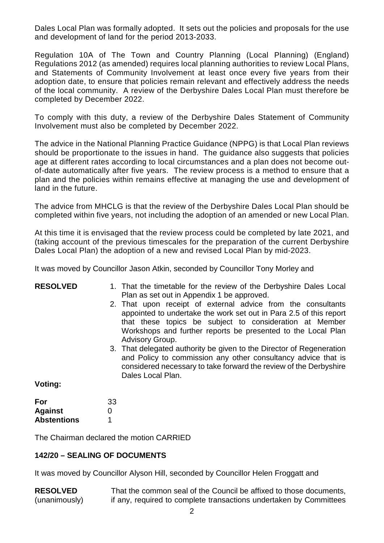Dales Local Plan was formally adopted. It sets out the policies and proposals for the use and development of land for the period 2013-2033.

Regulation 10A of The Town and Country Planning (Local Planning) (England) Regulations 2012 (as amended) requires local planning authorities to review Local Plans, and Statements of Community Involvement at least once every five years from their adoption date, to ensure that policies remain relevant and effectively address the needs of the local community. A review of the Derbyshire Dales Local Plan must therefore be completed by December 2022.

To comply with this duty, a review of the Derbyshire Dales Statement of Community Involvement must also be completed by December 2022.

The advice in the National Planning Practice Guidance (NPPG) is that Local Plan reviews should be proportionate to the issues in hand. The guidance also suggests that policies age at different rates according to local circumstances and a plan does not become outof-date automatically after five years. The review process is a method to ensure that a plan and the policies within remains effective at managing the use and development of land in the future.

The advice from MHCLG is that the review of the Derbyshire Dales Local Plan should be completed within five years, not including the adoption of an amended or new Local Plan.

At this time it is envisaged that the review process could be completed by late 2021, and (taking account of the previous timescales for the preparation of the current Derbyshire Dales Local Plan) the adoption of a new and revised Local Plan by mid-2023.

It was moved by Councillor Jason Atkin, seconded by Councillor Tony Morley and

| <b>RESOLVED</b>    | 1. That the timetable for the review of the Derbyshire Dales Local<br>Plan as set out in Appendix 1 be approved.                                                                                                                                                                 |
|--------------------|----------------------------------------------------------------------------------------------------------------------------------------------------------------------------------------------------------------------------------------------------------------------------------|
|                    | 2. That upon receipt of external advice from the consultants<br>appointed to undertake the work set out in Para 2.5 of this report<br>that these topics be subject to consideration at Member<br>Workshops and further reports be presented to the Local Plan<br>Advisory Group. |
|                    | 3. That delegated authority be given to the Director of Regeneration<br>and Policy to commission any other consultancy advice that is<br>considered necessary to take forward the review of the Derbyshire<br>Dales Local Plan.                                                  |
| Voting:            |                                                                                                                                                                                                                                                                                  |
| For                | 33                                                                                                                                                                                                                                                                               |
| <b>Against</b>     | 0                                                                                                                                                                                                                                                                                |
| <b>Abstentions</b> | 1                                                                                                                                                                                                                                                                                |
|                    | The Chairman declared the motion CARRIED                                                                                                                                                                                                                                         |

#### **142/20 – SEALING OF DOCUMENTS**

It was moved by Councillor Alyson Hill, seconded by Councillor Helen Froggatt and

**RESOLVED** (unanimously) That the common seal of the Council be affixed to those documents, if any, required to complete transactions undertaken by Committees